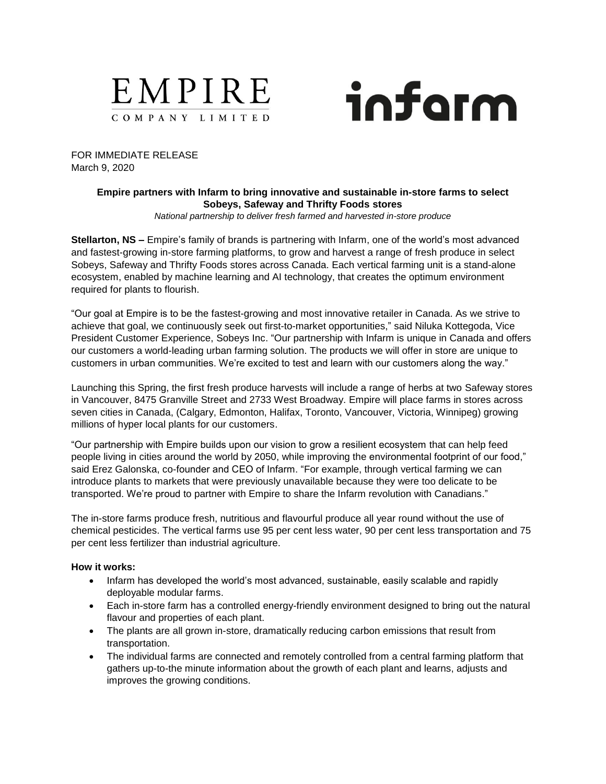



FOR IMMEDIATE RELEASE March 9, 2020

# **Empire partners with Infarm to bring innovative and sustainable in-store farms to select Sobeys, Safeway and Thrifty Foods stores**

*National partnership to deliver fresh farmed and harvested in-store produce*

**Stellarton, NS –** Empire's family of brands is partnering with Infarm, one of the world's most advanced and fastest-growing in-store farming platforms, to grow and harvest a range of fresh produce in select Sobeys, Safeway and Thrifty Foods stores across Canada. Each vertical farming unit is a stand-alone ecosystem, enabled by machine learning and AI technology, that creates the optimum environment required for plants to flourish.

"Our goal at Empire is to be the fastest-growing and most innovative retailer in Canada. As we strive to achieve that goal, we continuously seek out first-to-market opportunities," said Niluka Kottegoda, Vice President Customer Experience, Sobeys Inc. "Our partnership with Infarm is unique in Canada and offers our customers a world-leading urban farming solution. The products we will offer in store are unique to customers in urban communities. We're excited to test and learn with our customers along the way."

Launching this Spring, the first fresh produce harvests will include a range of herbs at two Safeway stores in Vancouver, 8475 Granville Street and 2733 West Broadway. Empire will place farms in stores across seven cities in Canada, (Calgary, Edmonton, Halifax, Toronto, Vancouver, Victoria, Winnipeg) growing millions of hyper local plants for our customers.

"Our partnership with Empire builds upon our vision to grow a resilient ecosystem that can help feed people living in cities around the world by 2050, while improving the environmental footprint of our food," said Erez Galonska, co-founder and CEO of Infarm. "For example, through vertical farming we can introduce plants to markets that were previously unavailable because they were too delicate to be transported. We're proud to partner with Empire to share the Infarm revolution with Canadians."

The in-store farms produce fresh, nutritious and flavourful produce all year round without the use of chemical pesticides. The vertical farms use 95 per cent less water, 90 per cent less transportation and 75 per cent less fertilizer than industrial agriculture.

# **How it works:**

- Infarm has developed the world's most advanced, sustainable, easily scalable and rapidly deployable modular farms.
- Each in-store farm has a controlled energy-friendly environment designed to bring out the natural flavour and properties of each plant.
- The plants are all grown in-store, dramatically reducing carbon emissions that result from transportation.
- The individual farms are connected and remotely controlled from a central farming platform that gathers up-to-the minute information about the growth of each plant and learns, adjusts and improves the growing conditions.